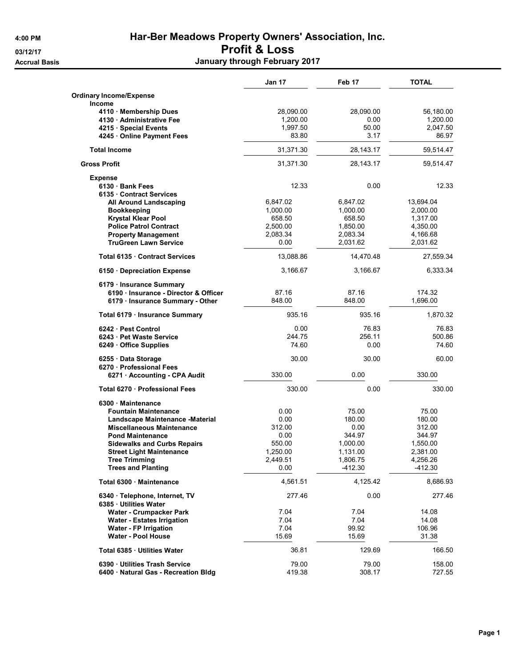**Accrual Basis** 

## 4:00 PM Har-Ber Meadows Property Owners' Association, Inc. 03/12/17 03/12/17

| . |                               |  |
|---|-------------------------------|--|
|   | January through February 2017 |  |

|                                                                   | <b>Jan 17</b>    | Feb 17               | <b>TOTAL</b>         |
|-------------------------------------------------------------------|------------------|----------------------|----------------------|
| Ordinary Income/Expense                                           |                  |                      |                      |
| <b>Income</b>                                                     |                  |                      |                      |
| 4110 · Membership Dues                                            | 28,090.00        | 28,090.00            | 56,180.00            |
| 4130 Administrative Fee                                           | 1,200.00         | 0.00                 | 1,200.00             |
| 4215 · Special Events                                             | 1,997.50         | 50.00                | 2,047.50             |
| 4245 · Online Payment Fees                                        | 83.80            | 3.17                 | 86.97                |
| <b>Total Income</b>                                               | 31,371.30        | 28,143.17            | 59,514.47            |
| <b>Gross Profit</b>                                               | 31,371.30        | 28,143.17            | 59,514.47            |
| <b>Expense</b>                                                    |                  |                      |                      |
| 6130 Bank Fees                                                    | 12.33            | 0.00                 | 12.33                |
| 6135 Contract Services                                            |                  |                      |                      |
| All Around Landscaping                                            | 6,847.02         | 6,847.02             | 13,694.04            |
| <b>Bookkeeping</b>                                                | 1,000.00         | 1,000.00             | 2,000.00             |
| <b>Krystal Klear Pool</b>                                         | 658.50           | 658.50               | 1,317.00             |
| <b>Police Patrol Contract</b>                                     | 2,500.00         | 1,850.00             | 4,350.00             |
| <b>Property Management</b><br><b>TruGreen Lawn Service</b>        | 2,083.34<br>0.00 | 2,083.34<br>2,031.62 | 4,166.68<br>2,031.62 |
|                                                                   |                  |                      |                      |
| Total 6135 Contract Services                                      | 13,088.86        | 14,470.48            | 27,559.34            |
| 6150 · Depreciation Expense                                       | 3,166.67         | 3,166.67             | 6,333.34             |
| 6179 · Insurance Summary                                          |                  |                      |                      |
| 6190 · Insurance - Director & Officer                             | 87.16            | 87.16                | 174.32               |
| 6179 · Insurance Summary - Other                                  | 848.00           | 848.00               | 1,696.00             |
| Total 6179 · Insurance Summary                                    | 935.16           | 935.16               | 1,870.32             |
| 6242 Pest Control                                                 | 0.00             | 76.83                | 76.83                |
| 6243 Pet Waste Service                                            | 244.75           | 256.11               | 500.86               |
| 6249 Office Supplies                                              | 74.60            | 0.00                 | 74.60                |
| 6255 · Data Storage                                               | 30.00            | 30.00                | 60.00                |
| 6270 Professional Fees                                            |                  |                      |                      |
| 6271 · Accounting - CPA Audit                                     | 330.00           | 0.00                 | 330.00               |
| Total 6270 Professional Fees                                      | 330.00           | 0.00                 | 330.00               |
| 6300 Maintenance                                                  |                  |                      |                      |
| <b>Fountain Maintenance</b>                                       | 0.00             | 75.00                | 75.00                |
| Landscape Maintenance -Material                                   | 0.00             | 180.00               | 180.00               |
| <b>Miscellaneous Maintenance</b><br><b>Pond Maintenance</b>       | 312.00<br>0.00   | 0.00<br>344.97       | 312.00<br>344.97     |
| <b>Sidewalks and Curbs Repairs</b>                                | 550.00           | 1,000.00             | 1,550.00             |
| <b>Street Light Maintenance</b>                                   | 1,250.00         | 1,131.00             | 2,381.00             |
| <b>Tree Trimming</b>                                              | 2,449.51         | 1,806.75             | 4,256.26             |
| <b>Trees and Planting</b>                                         | 0.00             | -412.30              | $-412.30$            |
| Total 6300 · Maintenance                                          | 4,561.51         | 4,125.42             | 8,686.93             |
| 6340 · Telephone, Internet, TV                                    | 277.46           | 0.00                 | 277.46               |
| 6385 · Utilities Water                                            |                  |                      |                      |
| Water - Crumpacker Park                                           | 7.04<br>7.04     | 7.04<br>7.04         | 14.08<br>14.08       |
| <b>Water - Estates Irrigation</b><br><b>Water - FP Irrigation</b> | 7.04             | 99.92                |                      |
| <b>Water - Pool House</b>                                         | 15.69            | 15.69                | 106.96<br>31.38      |
|                                                                   |                  |                      |                      |
| Total 6385 · Utilities Water                                      | 36.81            | 129.69               | 166.50               |
| 6390 Utilities Trash Service                                      | 79.00            | 79.00                | 158.00               |
| 6400 · Natural Gas - Recreation Bldg                              | 419.38           | 308.17               | 727.55               |